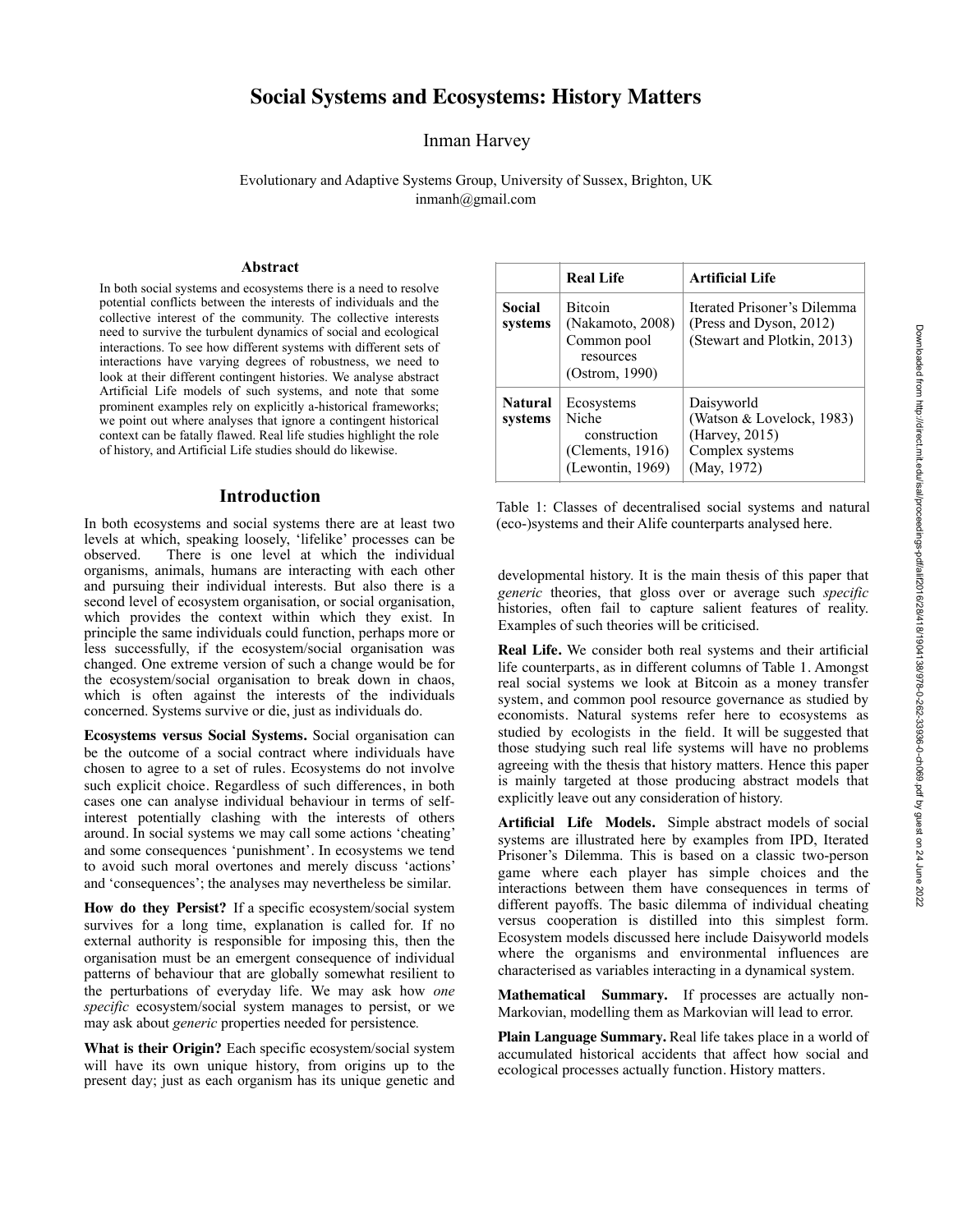# **Social Systems and Ecosystems: History Matters**

# Inman Harvey

Evolutionary and Adaptive Systems Group, University of Sussex, Brighton, UK inmanh@gmail.com

# **Abstract**

In both social systems and ecosystems there is a need to resolve potential conflicts between the interests of individuals and the collective interest of the community. The collective interests need to survive the turbulent dynamics of social and ecological interactions. To see how different systems with different sets of interactions have varying degrees of robustness, we need to look at their different contingent histories. We analyse abstract Artificial Life models of such systems, and note that some prominent examples rely on explicitly a-historical frameworks; we point out where analyses that ignore a contingent historical context can be fatally flawed. Real life studies highlight the role of history, and Artificial Life studies should do likewise.

# **Introduction**

In both ecosystems and social systems there are at least two levels at which, speaking loosely, 'lifelike' processes can be There is one level at which the individual organisms, animals, humans are interacting with each other and pursuing their individual interests. But also there is a second level of ecosystem organisation, or social organisation, which provides the context within which they exist. In principle the same individuals could function, perhaps more or less successfully, if the ecosystem/social organisation was changed. One extreme version of such a change would be for the ecosystem/social organisation to break down in chaos, which is often against the interests of the individuals concerned. Systems survive or die, just as individuals do.

**Ecosystems versus Social Systems.** Social organisation can be the outcome of a social contract where individuals have chosen to agree to a set of rules. Ecosystems do not involve such explicit choice. Regardless of such differences, in both cases one can analyse individual behaviour in terms of selfinterest potentially clashing with the interests of others around. In social systems we may call some actions 'cheating' and some consequences 'punishment'. In ecosystems we tend to avoid such moral overtones and merely discuss 'actions' and 'consequences'; the analyses may nevertheless be similar.

**How do they Persist?** If a specific ecosystem/social system survives for a long time, explanation is called for. If no external authority is responsible for imposing this, then the organisation must be an emergent consequence of individual patterns of behaviour that are globally somewhat resilient to the perturbations of everyday life. We may ask how *one specific* ecosystem/social system manages to persist, or we may ask about *generic* properties needed for persistence*.*

**What is their Origin?** Each specific ecosystem/social system will have its own unique history, from origins up to the present day; just as each organism has its unique genetic and

|                           | <b>Real Life</b>                                                                 | <b>Artificial Life</b>                                                                      |
|---------------------------|----------------------------------------------------------------------------------|---------------------------------------------------------------------------------------------|
| Social<br>systems         | <b>Bitcoin</b><br>(Nakamoto, 2008)<br>Common pool<br>resources<br>(Ostrom, 1990) | Iterated Prisoner's Dilemma<br>(Press and Dyson, 2012)<br>(Stewart and Plotkin, 2013)       |
| <b>Natural</b><br>systems | Ecosystems<br>Niche<br>construction<br>(Clements, $1916$ )<br>(Lewontin, 1969)   | Daisyworld<br>(Watson & Lovelock, 1983)<br>(Harvey, 2015)<br>Complex systems<br>(May, 1972) |

Table 1: Classes of decentralised social systems and natural (eco-)systems and their Alife counterparts analysed here.

developmental history. It is the main thesis of this paper that *generic* theories, that gloss over or average such *specific* histories, often fail to capture salient features of reality. Examples of such theories will be criticised.

**Real Life.** We consider both real systems and their artificial life counterparts, as in different columns of Table 1. Amongst real social systems we look at Bitcoin as a money transfer system, and common pool resource governance as studied by economists. Natural systems refer here to ecosystems as studied by ecologists in the field. It will be suggested that those studying such real life systems will have no problems agreeing with the thesis that history matters. Hence this paper is mainly targeted at those producing abstract models that explicitly leave out any consideration of history.

**Artificial Life Models.** Simple abstract models of social systems are illustrated here by examples from IPD, Iterated Prisoner's Dilemma. This is based on a classic two-person game where each player has simple choices and the interactions between them have consequences in terms of different payoffs. The basic dilemma of individual cheating versus cooperation is distilled into this simplest form. Ecosystem models discussed here include Daisyworld models where the organisms and environmental influences are characterised as variables interacting in a dynamical system.

**Mathematical Summary.** If processes are actually non-Markovian, modelling them as Markovian will lead to error.

**Plain Language Summary.** Real life takes place in a world of accumulated historical accidents that affect how social and ecological processes actually function. History matters.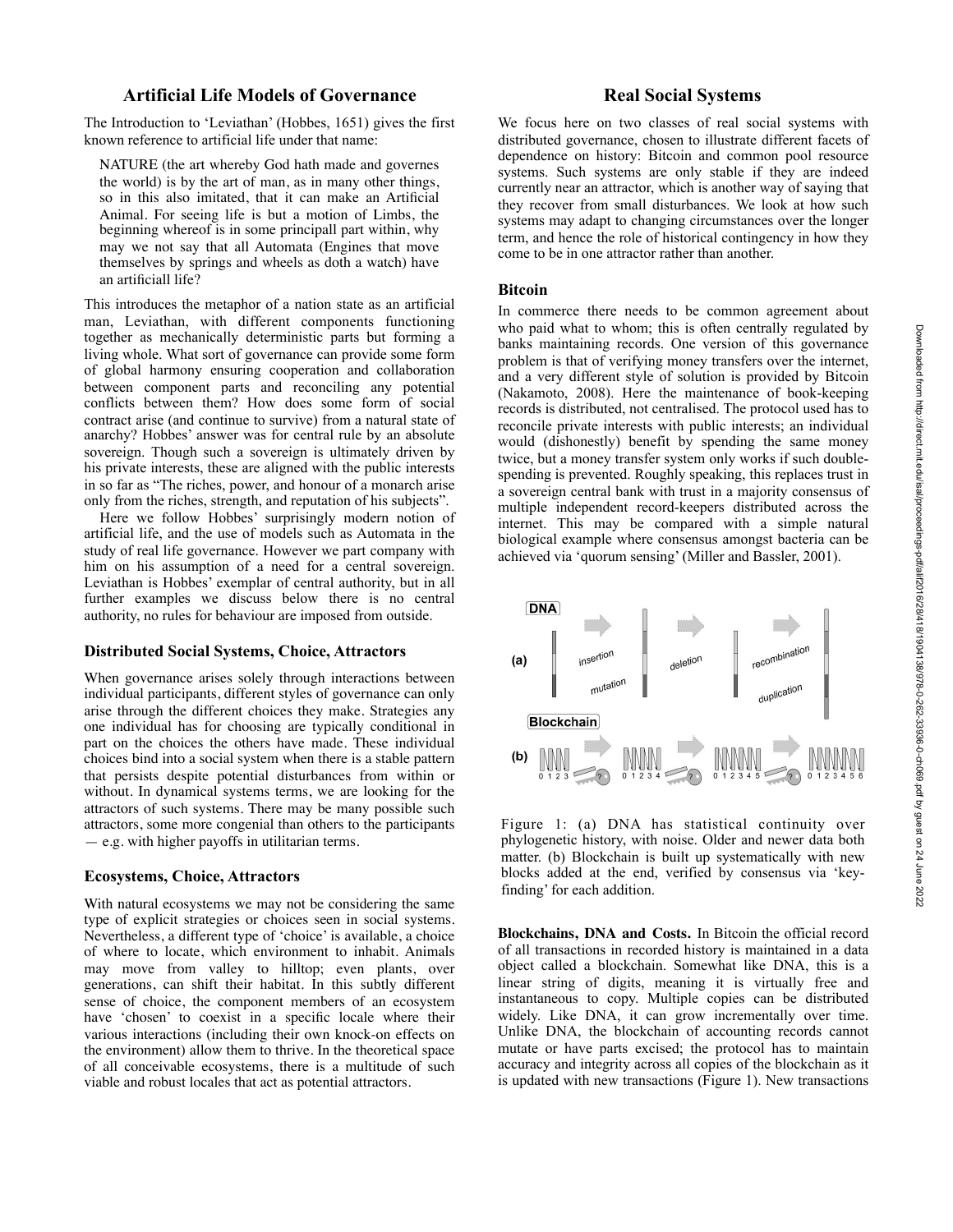# **Artificial Life Models of Governance**

The Introduction to 'Leviathan' (Hobbes, 1651) gives the first known reference to artificial life under that name:

NATURE (the art whereby God hath made and governes the world) is by the art of man, as in many other things, so in this also imitated, that it can make an Artificial Animal. For seeing life is but a motion of Limbs, the beginning whereof is in some principall part within, why may we not say that all Automata (Engines that move themselves by springs and wheels as doth a watch) have an artificiall life?

This introduces the metaphor of a nation state as an artificial man, Leviathan, with different components functioning together as mechanically deterministic parts but forming a living whole. What sort of governance can provide some form of global harmony ensuring cooperation and collaboration between component parts and reconciling any potential conflicts between them? How does some form of social contract arise (and continue to survive) from a natural state of anarchy? Hobbes' answer was for central rule by an absolute sovereign. Though such a sovereign is ultimately driven by his private interests, these are aligned with the public interests in so far as "The riches, power, and honour of a monarch arise only from the riches, strength, and reputation of his subjects".

Here we follow Hobbes' surprisingly modern notion of artificial life, and the use of models such as Automata in the study of real life governance. However we part company with him on his assumption of a need for a central sovereign. Leviathan is Hobbes' exemplar of central authority, but in all further examples we discuss below there is no central authority, no rules for behaviour are imposed from outside.

#### **Distributed Social Systems, Choice, Attractors**

When governance arises solely through interactions between individual participants, different styles of governance can only arise through the different choices they make. Strategies any one individual has for choosing are typically conditional in part on the choices the others have made. These individual choices bind into a social system when there is a stable pattern that persists despite potential disturbances from within or without. In dynamical systems terms, we are looking for the attractors of such systems. There may be many possible such attractors, some more congenial than others to the participants — e.g. with higher payoffs in utilitarian terms.

#### **Ecosystems, Choice, Attractors**

With natural ecosystems we may not be considering the same type of explicit strategies or choices seen in social systems. Nevertheless, a different type of 'choice' is available, a choice of where to locate, which environment to inhabit. Animals may move from valley to hilltop; even plants, over generations, can shift their habitat. In this subtly different sense of choice, the component members of an ecosystem have 'chosen' to coexist in a specific locale where their various interactions (including their own knock-on effects on the environment) allow them to thrive. In the theoretical space of all conceivable ecosystems, there is a multitude of such viable and robust locales that act as potential attractors.

# **Real Social Systems**

We focus here on two classes of real social systems with distributed governance, chosen to illustrate different facets of dependence on history: Bitcoin and common pool resource systems. Such systems are only stable if they are indeed currently near an attractor, which is another way of saying that they recover from small disturbances. We look at how such systems may adapt to changing circumstances over the longer term, and hence the role of historical contingency in how they come to be in one attractor rather than another.

#### **Bitcoin**

In commerce there needs to be common agreement about who paid what to whom; this is often centrally regulated by banks maintaining records. One version of this governance problem is that of verifying money transfers over the internet, and a very different style of solution is provided by Bitcoin (Nakamoto, 2008). Here the maintenance of book-keeping records is distributed, not centralised. The protocol used has to reconcile private interests with public interests; an individual would (dishonestly) benefit by spending the same money twice, but a money transfer system only works if such doublespending is prevented. Roughly speaking, this replaces trust in a sovereign central bank with trust in a majority consensus of multiple independent record-keepers distributed across the internet. This may be compared with a simple natural biological example where consensus amongst bacteria can be achieved via 'quorum sensing' (Miller and Bassler, 2001).



Figure 1: (a) DNA has statistical continuity over phylogenetic history, with noise. Older and newer data both matter. (b) Blockchain is built up systematically with new blocks added at the end, verified by consensus via 'keyfinding' for each addition.

**Blockchains, DNA and Costs.** In Bitcoin the official record of all transactions in recorded history is maintained in a data object called a blockchain. Somewhat like DNA, this is a linear string of digits, meaning it is virtually free and instantaneous to copy. Multiple copies can be distributed widely. Like DNA, it can grow incrementally over time. Unlike DNA, the blockchain of accounting records cannot mutate or have parts excised; the protocol has to maintain accuracy and integrity across all copies of the blockchain as it is updated with new transactions (Figure 1). New transactions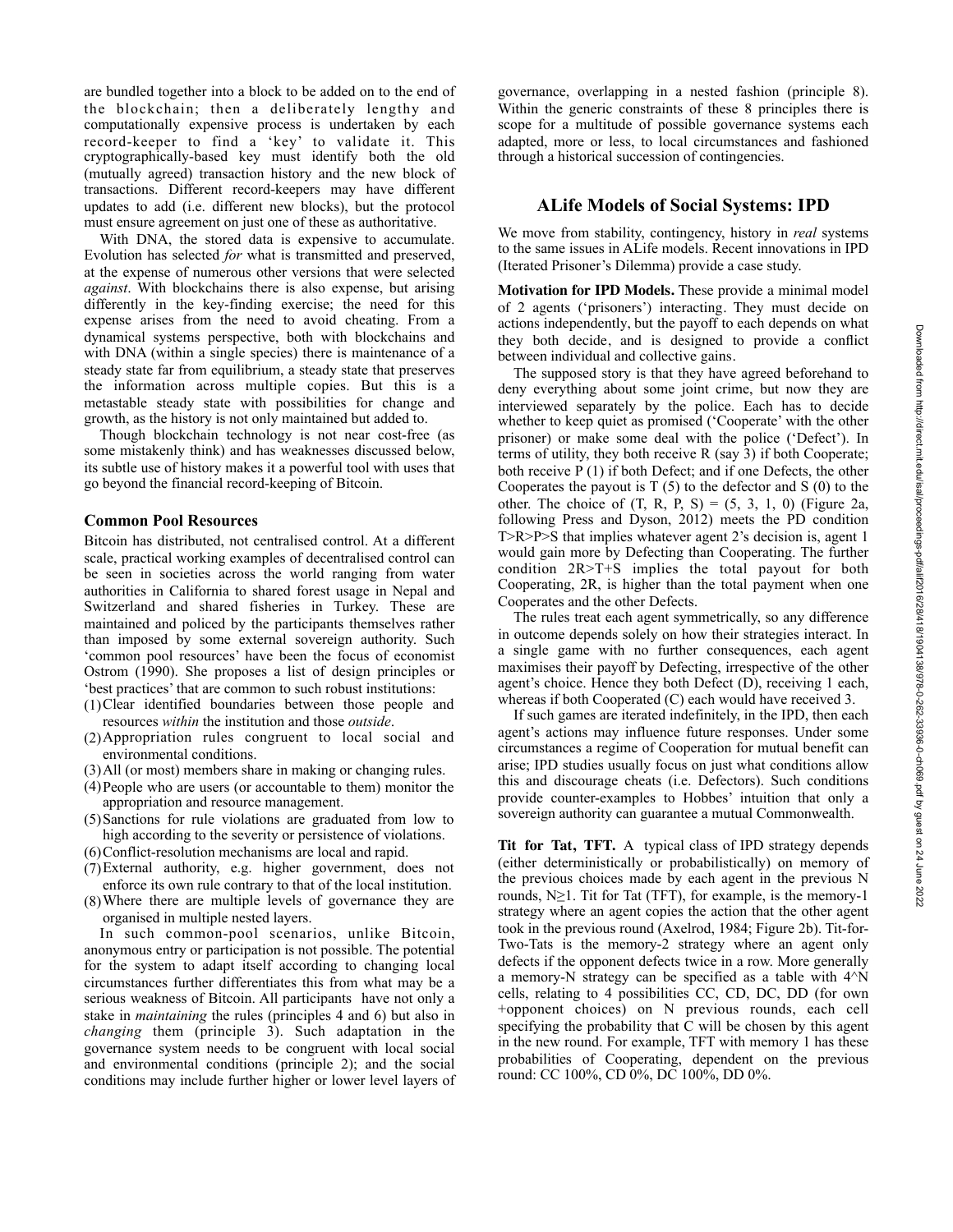are bundled together into a block to be added on to the end of the blockchain; then a deliberately lengthy and computationally expensive process is undertaken by each record-keeper to find a 'key' to validate it. This cryptographically-based key must identify both the old (mutually agreed) transaction history and the new block of transactions. Different record-keepers may have different updates to add (i.e. different new blocks), but the protocol must ensure agreement on just one of these as authoritative.

 With DNA, the stored data is expensive to accumulate. Evolution has selected *for* what is transmitted and preserved, at the expense of numerous other versions that were selected *against*. With blockchains there is also expense, but arising differently in the key-finding exercise; the need for this expense arises from the need to avoid cheating. From a dynamical systems perspective, both with blockchains and with DNA (within a single species) there is maintenance of a steady state far from equilibrium, a steady state that preserves the information across multiple copies. But this is a metastable steady state with possibilities for change and growth, as the history is not only maintained but added to.

 Though blockchain technology is not near cost-free (as some mistakenly think) and has weaknesses discussed below, its subtle use of history makes it a powerful tool with uses that go beyond the financial record-keeping of Bitcoin.

#### **Common Pool Resources**

Bitcoin has distributed, not centralised control. At a different scale, practical working examples of decentralised control can be seen in societies across the world ranging from water authorities in California to shared forest usage in Nepal and Switzerland and shared fisheries in Turkey. These are maintained and policed by the participants themselves rather than imposed by some external sovereign authority. Such 'common pool resources' have been the focus of economist Ostrom (1990). She proposes a list of design principles or 'best practices' that are common to such robust institutions:

- (1)Clear identified boundaries between those people and resources *within* the institution and those *outside*.
- (2)Appropriation rules congruent to local social and environmental conditions.
- (3)All (or most) members share in making or changing rules.
- (4)People who are users (or accountable to them) monitor the appropriation and resource management.
- (5)Sanctions for rule violations are graduated from low to high according to the severity or persistence of violations.
- (6)Conflict-resolution mechanisms are local and rapid.
- (7)External authority, e.g. higher government, does not enforce its own rule contrary to that of the local institution.
- (8)Where there are multiple levels of governance they are organised in multiple nested layers.

 In such common-pool scenarios, unlike Bitcoin, anonymous entry or participation is not possible. The potential for the system to adapt itself according to changing local circumstances further differentiates this from what may be a serious weakness of Bitcoin. All participants have not only a stake in *maintaining* the rules (principles 4 and 6) but also in *changing* them (principle 3). Such adaptation in the governance system needs to be congruent with local social and environmental conditions (principle 2); and the social conditions may include further higher or lower level layers of

governance, overlapping in a nested fashion (principle 8). Within the generic constraints of these 8 principles there is scope for a multitude of possible governance systems each adapted, more or less, to local circumstances and fashioned through a historical succession of contingencies.

# **ALife Models of Social Systems: IPD**

We move from stability, contingency, history in *real* systems to the same issues in ALife models. Recent innovations in IPD (Iterated Prisoner's Dilemma) provide a case study.

**Motivation for IPD Models.** These provide a minimal model of 2 agents ('prisoners') interacting. They must decide on actions independently, but the payoff to each depends on what they both decide, and is designed to provide a conflict between individual and collective gains.

 The supposed story is that they have agreed beforehand to deny everything about some joint crime, but now they are interviewed separately by the police. Each has to decide whether to keep quiet as promised ('Cooperate' with the other prisoner) or make some deal with the police ('Defect'). In terms of utility, they both receive R (say 3) if both Cooperate; both receive P (1) if both Defect; and if one Defects, the other Cooperates the payout is  $T(5)$  to the defector and S (0) to the other. The choice of  $(T, R, P, S) = (5, 3, 1, 0)$  (Figure 2a, following Press and Dyson, 2012) meets the PD condition T>R>P>S that implies whatever agent 2's decision is, agent 1 would gain more by Defecting than Cooperating. The further condition 2R>T+S implies the total payout for both Cooperating, 2R, is higher than the total payment when one Cooperates and the other Defects.

 The rules treat each agent symmetrically, so any difference in outcome depends solely on how their strategies interact. In a single game with no further consequences, each agent maximises their payoff by Defecting, irrespective of the other agent's choice. Hence they both Defect (D), receiving 1 each, whereas if both Cooperated (C) each would have received 3.

 If such games are iterated indefinitely, in the IPD, then each agent's actions may influence future responses. Under some circumstances a regime of Cooperation for mutual benefit can arise; IPD studies usually focus on just what conditions allow this and discourage cheats (i.e. Defectors). Such conditions provide counter-examples to Hobbes' intuition that only a sovereign authority can guarantee a mutual Commonwealth.

**Tit for Tat, TFT.** A typical class of IPD strategy depends (either deterministically or probabilistically) on memory of the previous choices made by each agent in the previous N rounds,  $N \geq 1$ . Tit for Tat (TFT), for example, is the memory-1 strategy where an agent copies the action that the other agent took in the previous round (Axelrod, 1984; Figure 2b). Tit-for-Two-Tats is the memory-2 strategy where an agent only defects if the opponent defects twice in a row. More generally a memory-N strategy can be specified as a table with 4^N cells, relating to 4 possibilities CC, CD, DC, DD (for own +opponent choices) on N previous rounds, each cell specifying the probability that C will be chosen by this agent in the new round. For example, TFT with memory 1 has these probabilities of Cooperating, dependent on the previous round: CC 100%, CD 0%, DC 100%, DD 0%.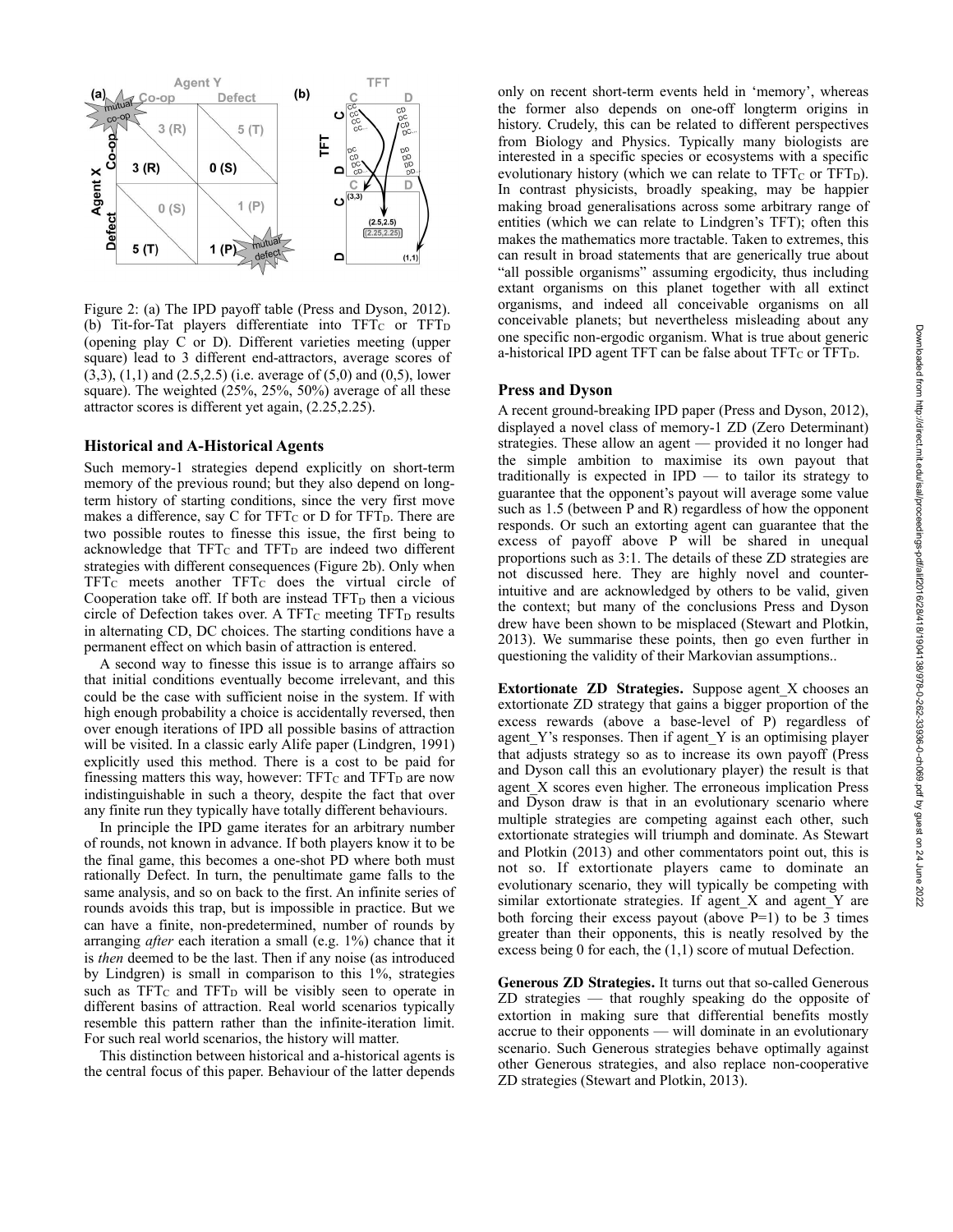

Figure 2: (a) The IPD payoff table (Press and Dyson, 2012). (b) Tit-for-Tat players differentiate into  $TFT_C$  or  $TFT_D$ (opening play C or D). Different varieties meeting (upper square) lead to 3 different end-attractors, average scores of (3,3), (1,1) and (2.5,2.5) (i.e. average of (5,0) and (0,5), lower square). The weighted (25%, 25%, 50%) average of all these attractor scores is different yet again, (2.25,2.25).

#### **Historical and A-Historical Agents**

Such memory-1 strategies depend explicitly on short-term memory of the previous round; but they also depend on longterm history of starting conditions, since the very first move makes a difference, say C for  $TFT_C$  or D for  $TFT_D$ . There are two possible routes to finesse this issue, the first being to acknowledge that  $TFT_C$  and  $TFT_D$  are indeed two different strategies with different consequences (Figure 2b). Only when TFTC meets another TFTC does the virtual circle of Cooperation take off. If both are instead TFT<sub>D</sub> then a vicious circle of Defection takes over. A TFT $<sub>C</sub>$  meeting TFT $<sub>D</sub>$  results</sub></sub> in alternating CD, DC choices. The starting conditions have a permanent effect on which basin of attraction is entered.

 A second way to finesse this issue is to arrange affairs so that initial conditions eventually become irrelevant, and this could be the case with sufficient noise in the system. If with high enough probability a choice is accidentally reversed, then over enough iterations of IPD all possible basins of attraction will be visited. In a classic early Alife paper (Lindgren, 1991) explicitly used this method. There is a cost to be paid for finessing matters this way, however:  $TFT<sub>C</sub>$  and  $TFT<sub>D</sub>$  are now indistinguishable in such a theory, despite the fact that over any finite run they typically have totally different behaviours.

 In principle the IPD game iterates for an arbitrary number of rounds, not known in advance. If both players know it to be the final game, this becomes a one-shot PD where both must rationally Defect. In turn, the penultimate game falls to the same analysis, and so on back to the first. An infinite series of rounds avoids this trap, but is impossible in practice. But we can have a finite, non-predetermined, number of rounds by arranging *after* each iteration a small (e.g. 1%) chance that it is *then* deemed to be the last. Then if any noise (as introduced by Lindgren) is small in comparison to this 1%, strategies such as  $TFT_C$  and  $TFT_D$  will be visibly seen to operate in different basins of attraction. Real world scenarios typically resemble this pattern rather than the infinite-iteration limit. For such real world scenarios, the history will matter.

 This distinction between historical and a-historical agents is the central focus of this paper. Behaviour of the latter depends

only on recent short-term events held in 'memory', whereas the former also depends on one-off longterm origins in history. Crudely, this can be related to different perspectives from Biology and Physics. Typically many biologists are interested in a specific species or ecosystems with a specific evolutionary history (which we can relate to  $TFT<sub>C</sub>$  or  $TFT<sub>D</sub>$ ). In contrast physicists, broadly speaking, may be happier making broad generalisations across some arbitrary range of entities (which we can relate to Lindgren's TFT); often this makes the mathematics more tractable. Taken to extremes, this can result in broad statements that are generically true about "all possible organisms" assuming ergodicity, thus including extant organisms on this planet together with all extinct organisms, and indeed all conceivable organisms on all conceivable planets; but nevertheless misleading about any one specific non-ergodic organism. What is true about generic a-historical IPD agent TFT can be false about  $TFT<sub>C</sub>$  or  $TFT<sub>D</sub>$ .

#### **Press and Dyson**

A recent ground-breaking IPD paper (Press and Dyson, 2012), displayed a novel class of memory-1 ZD (Zero Determinant) strategies. These allow an agent — provided it no longer had the simple ambition to maximise its own payout that traditionally is expected in IPD — to tailor its strategy to guarantee that the opponent's payout will average some value such as 1.5 (between P and R) regardless of how the opponent responds. Or such an extorting agent can guarantee that the excess of payoff above P will be shared in unequal proportions such as 3:1. The details of these ZD strategies are not discussed here. They are highly novel and counterintuitive and are acknowledged by others to be valid, given the context; but many of the conclusions Press and Dyson drew have been shown to be misplaced (Stewart and Plotkin, 2013). We summarise these points, then go even further in questioning the validity of their Markovian assumptions..

**Extortionate ZD Strategies.** Suppose agent\_X chooses an extortionate ZD strategy that gains a bigger proportion of the excess rewards (above a base-level of P) regardless of agent Y's responses. Then if agent Y is an optimising player that adjusts strategy so as to increase its own payoff (Press and Dyson call this an evolutionary player) the result is that agent\_X scores even higher. The erroneous implication Press and Dyson draw is that in an evolutionary scenario where multiple strategies are competing against each other, such extortionate strategies will triumph and dominate. As Stewart and Plotkin (2013) and other commentators point out, this is not so. If extortionate players came to dominate an evolutionary scenario, they will typically be competing with similar extortionate strategies. If agent\_X and agent\_Y are both forcing their excess payout (above  $P=1$ ) to be 3 times greater than their opponents, this is neatly resolved by the excess being 0 for each, the (1,1) score of mutual Defection.

**Generous ZD Strategies.** It turns out that so-called Generous ZD strategies — that roughly speaking do the opposite of extortion in making sure that differential benefits mostly accrue to their opponents — will dominate in an evolutionary scenario. Such Generous strategies behave optimally against other Generous strategies, and also replace non-cooperative ZD strategies (Stewart and Plotkin, 2013).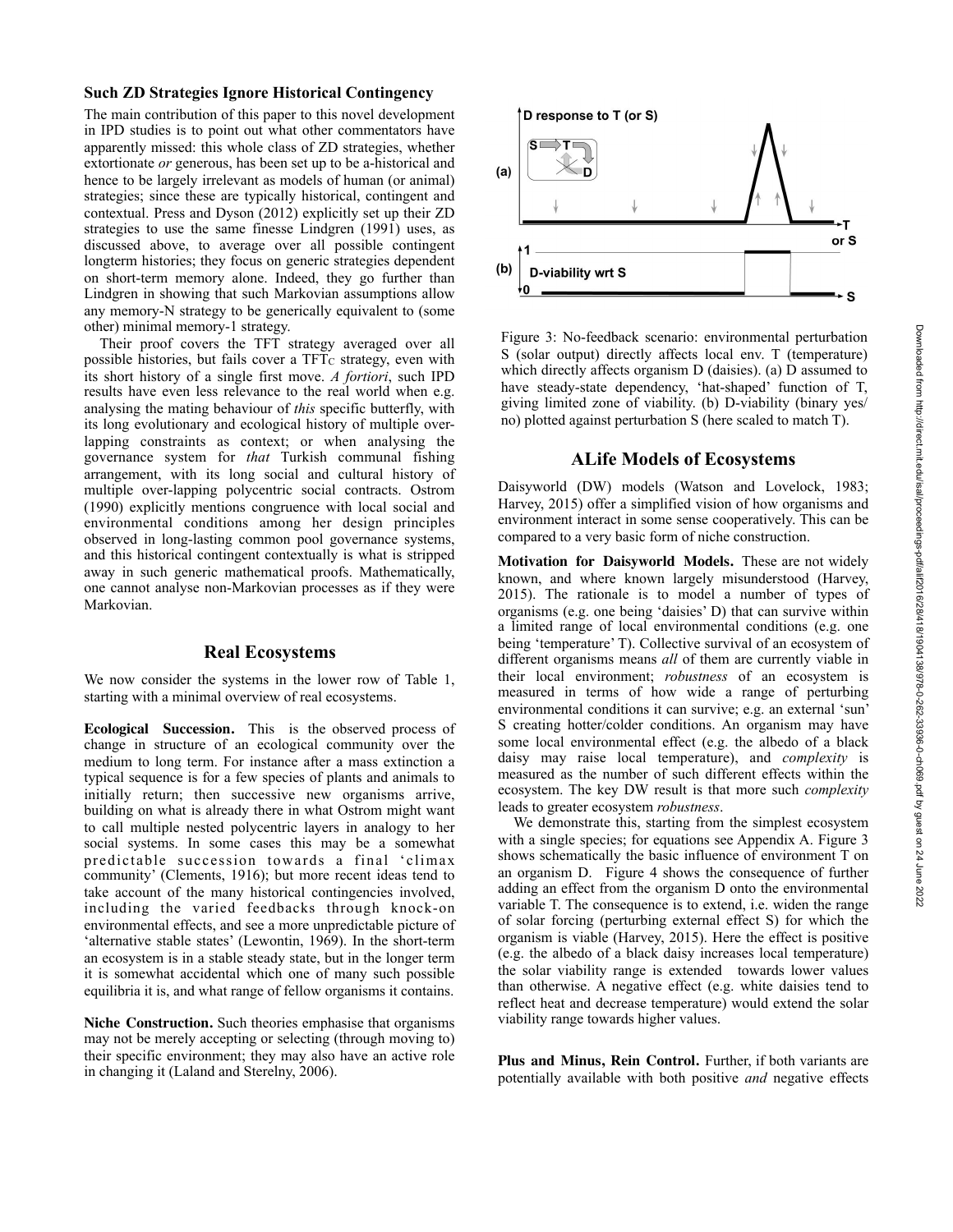## **Such ZD Strategies Ignore Historical Contingency**

The main contribution of this paper to this novel development in IPD studies is to point out what other commentators have apparently missed: this whole class of ZD strategies, whether extortionate *or* generous, has been set up to be a-historical and hence to be largely irrelevant as models of human (or animal) strategies; since these are typically historical, contingent and contextual. Press and Dyson (2012) explicitly set up their ZD strategies to use the same finesse Lindgren (1991) uses, as discussed above, to average over all possible contingent longterm histories; they focus on generic strategies dependent on short-term memory alone. Indeed, they go further than Lindgren in showing that such Markovian assumptions allow any memory-N strategy to be generically equivalent to (some other) minimal memory-1 strategy.

 Their proof covers the TFT strategy averaged over all possible histories, but fails cover a  $TFT_C$  strategy, even with its short history of a single first move. *A fortiori*, such IPD results have even less relevance to the real world when e.g. analysing the mating behaviour of *this* specific butterfly, with its long evolutionary and ecological history of multiple overlapping constraints as context; or when analysing the governance system for *that* Turkish communal fishing arrangement, with its long social and cultural history of multiple over-lapping polycentric social contracts. Ostrom (1990) explicitly mentions congruence with local social and environmental conditions among her design principles observed in long-lasting common pool governance systems, and this historical contingent contextually is what is stripped away in such generic mathematical proofs. Mathematically, one cannot analyse non-Markovian processes as if they were Markovian.

### **Real Ecosystems**

We now consider the systems in the lower row of Table 1, starting with a minimal overview of real ecosystems.

**Ecological Succession.** This is the observed process of change in structure of an ecological community over the medium to long term. For instance after a mass extinction a typical sequence is for a few species of plants and animals to initially return; then successive new organisms arrive, building on what is already there in what Ostrom might want to call multiple nested polycentric layers in analogy to her social systems. In some cases this may be a somewhat predictable succession towards a final 'climax community' (Clements, 1916); but more recent ideas tend to take account of the many historical contingencies involved, including the varied feedbacks through knock-on environmental effects, and see a more unpredictable picture of 'alternative stable states' (Lewontin, 1969). In the short-term an ecosystem is in a stable steady state, but in the longer term it is somewhat accidental which one of many such possible equilibria it is, and what range of fellow organisms it contains.

**Niche Construction.** Such theories emphasise that organisms may not be merely accepting or selecting (through moving to) their specific environment; they may also have an active role in changing it (Laland and Sterelny, 2006).



Figure 3: No-feedback scenario: environmental perturbation S (solar output) directly affects local env. T (temperature) which directly affects organism D (daisies). (a) D assumed to have steady-state dependency, 'hat-shaped' function of T, giving limited zone of viability. (b) D-viability (binary yes/ no) plotted against perturbation S (here scaled to match T).

### **ALife Models of Ecosystems**

Daisyworld (DW) models (Watson and Lovelock, 1983; Harvey, 2015) offer a simplified vision of how organisms and environment interact in some sense cooperatively. This can be compared to a very basic form of niche construction.

**Motivation for Daisyworld Models.** These are not widely known, and where known largely misunderstood (Harvey, 2015). The rationale is to model a number of types of organisms (e.g. one being 'daisies' D) that can survive within a limited range of local environmental conditions (e.g. one being 'temperature' T). Collective survival of an ecosystem of different organisms means *all* of them are currently viable in their local environment; *robustness* of an ecosystem is measured in terms of how wide a range of perturbing environmental conditions it can survive; e.g. an external 'sun' S creating hotter/colder conditions. An organism may have some local environmental effect (e.g. the albedo of a black daisy may raise local temperature), and *complexity* is measured as the number of such different effects within the ecosystem. The key DW result is that more such *complexity* leads to greater ecosystem *robustness*.

We demonstrate this, starting from the simplest ecosystem with a single species; for equations see Appendix A. Figure 3 shows schematically the basic influence of environment T on an organism D. Figure 4 shows the consequence of further adding an effect from the organism D onto the environmental variable T. The consequence is to extend, i.e. widen the range of solar forcing (perturbing external effect S) for which the organism is viable (Harvey, 2015). Here the effect is positive (e.g. the albedo of a black daisy increases local temperature) the solar viability range is extended towards lower values than otherwise. A negative effect (e.g. white daisies tend to reflect heat and decrease temperature) would extend the solar viability range towards higher values.

Plus and Minus, Rein Control. Further, if both variants are potentially available with both positive *and* negative effects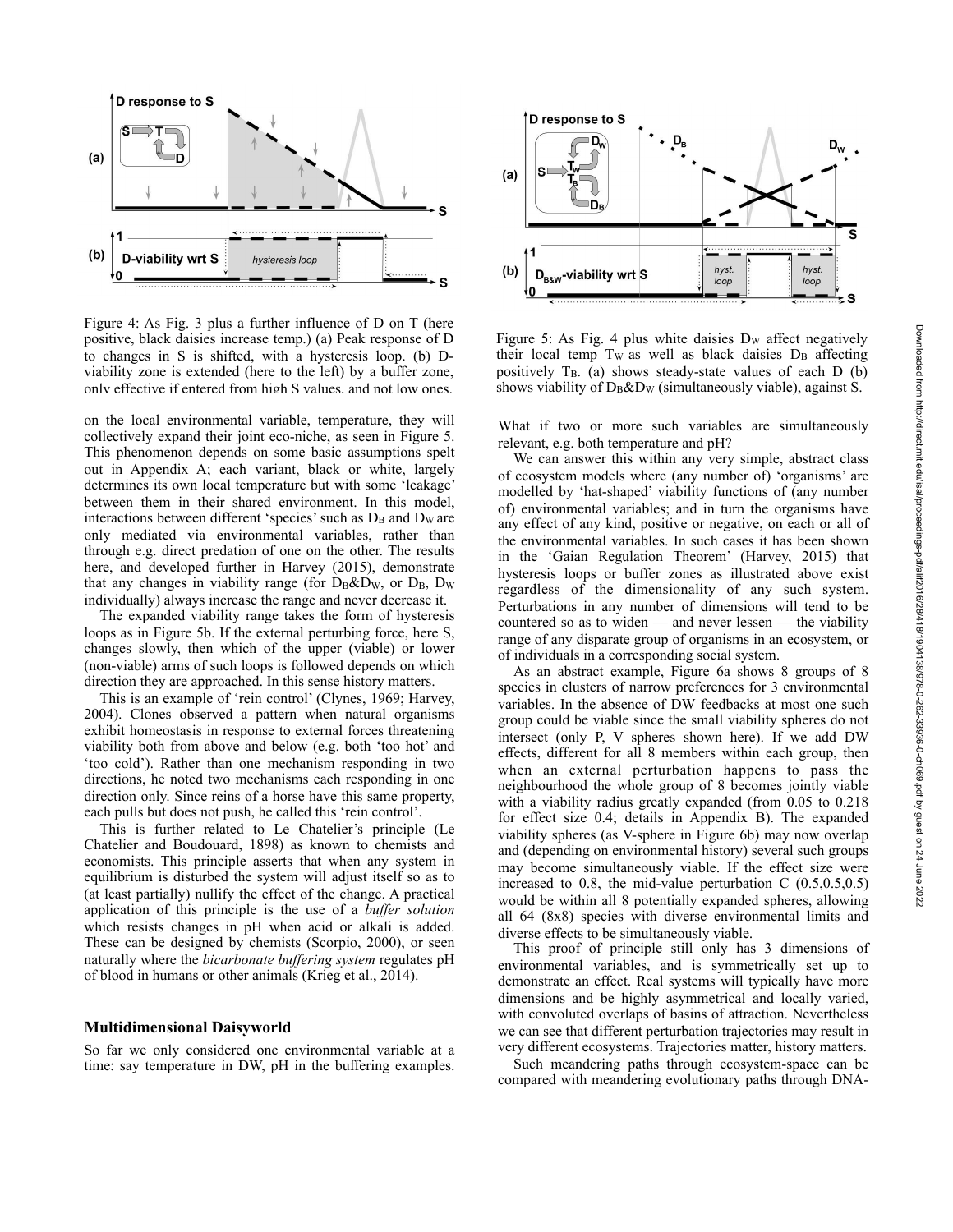

Figure 4: As Fig. 3 plus a further influence of D on T (here positive, black daisies increase temp.) (a) Peak response of D to changes in S is shifted, with a hysteresis loop. (b) Dviability zone is extended (here to the left) by a buffer zone, only effective if entered from high S values, and not low ones.

on the local environmental variable, temperature, they will collectively expand their joint eco-niche, as seen in Figure 5. This phenomenon depends on some basic assumptions spelt out in Appendix A; each variant, black or white, largely determines its own local temperature but with some 'leakage' between them in their shared environment. In this model, interactions between different 'species' such as  $D_B$  and  $D_W$  are only mediated via environmental variables, rather than through e.g. direct predation of one on the other. The results here, and developed further in Harvey (2015), demonstrate that any changes in viability range (for  $D_B\&D_W$ , or  $D_B$ ,  $D_W$ individually) always increase the range and never decrease it.

 The expanded viability range takes the form of hysteresis loops as in Figure 5b. If the external perturbing force, here S, changes slowly, then which of the upper (viable) or lower (non-viable) arms of such loops is followed depends on which direction they are approached. In this sense history matters.

 This is an example of 'rein control' (Clynes, 1969; Harvey, 2004). Clones observed a pattern when natural organisms exhibit homeostasis in response to external forces threatening viability both from above and below (e.g. both 'too hot' and 'too cold'). Rather than one mechanism responding in two directions, he noted two mechanisms each responding in one direction only. Since reins of a horse have this same property, each pulls but does not push, he called this 'rein control'.

 This is further related to Le Chatelier's principle (Le Chatelier and Boudouard, 1898) as known to chemists and economists. This principle asserts that when any system in equilibrium is disturbed the system will adjust itself so as to (at least partially) nullify the effect of the change. A practical application of this principle is the use of a *buffer solution* which resists changes in pH when acid or alkali is added. These can be designed by chemists (Scorpio, 2000), or seen naturally where the *bicarbonate buffering system* regulates pH of blood in humans or other animals (Krieg et al., 2014).

#### **Multidimensional Daisyworld**

So far we only considered one environmental variable at a time: say temperature in DW, pH in the buffering examples.



Figure 5: As Fig. 4 plus white daisies  $D<sub>W</sub>$  affect negatively their local temp  $T_W$  as well as black daisies  $D_B$  affecting positively  $T_B$ . (a) shows steady-state values of each D (b) shows viability of  $D_B\&D_W$  (simultaneously viable), against S.

What if two or more such variables are simultaneously relevant, e.g. both temperature and pH?

 We can answer this within any very simple, abstract class of ecosystem models where (any number of) 'organisms' are modelled by 'hat-shaped' viability functions of (any number of) environmental variables; and in turn the organisms have any effect of any kind, positive or negative, on each or all of the environmental variables. In such cases it has been shown in the 'Gaian Regulation Theorem' (Harvey, 2015) that hysteresis loops or buffer zones as illustrated above exist regardless of the dimensionality of any such system. Perturbations in any number of dimensions will tend to be countered so as to widen — and never lessen — the viability range of any disparate group of organisms in an ecosystem, or of individuals in a corresponding social system.

 As an abstract example, Figure 6a shows 8 groups of 8 species in clusters of narrow preferences for 3 environmental variables. In the absence of DW feedbacks at most one such group could be viable since the small viability spheres do not intersect (only P, V spheres shown here). If we add DW effects, different for all 8 members within each group, then when an external perturbation happens to pass the neighbourhood the whole group of 8 becomes jointly viable with a viability radius greatly expanded (from 0.05 to 0.218 for effect size 0.4; details in Appendix B). The expanded viability spheres (as V-sphere in Figure 6b) may now overlap and (depending on environmental history) several such groups may become simultaneously viable. If the effect size were increased to  $0.8$ , the mid-value perturbation C  $(0.5, 0.5, 0.5)$ would be within all 8 potentially expanded spheres, allowing all 64 (8x8) species with diverse environmental limits and diverse effects to be simultaneously viable.

 This proof of principle still only has 3 dimensions of environmental variables, and is symmetrically set up to demonstrate an effect. Real systems will typically have more dimensions and be highly asymmetrical and locally varied, with convoluted overlaps of basins of attraction. Nevertheless we can see that different perturbation trajectories may result in very different ecosystems. Trajectories matter, history matters.

 Such meandering paths through ecosystem-space can be compared with meandering evolutionary paths through DNA-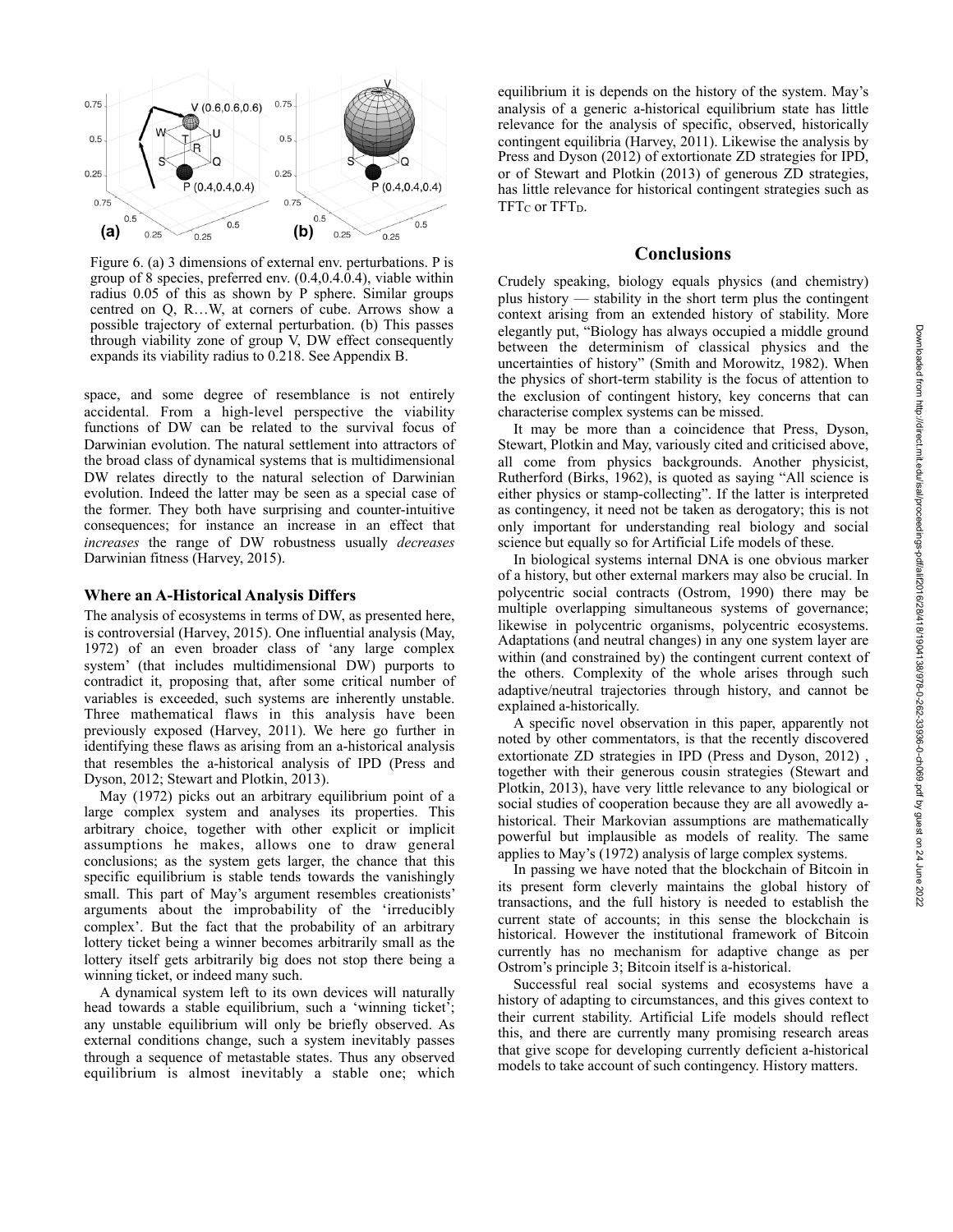

Figure 6. (a) 3 dimensions of external env. perturbations. P is group of 8 species, preferred env. (0.4,0.4.0.4), viable within radius 0.05 of this as shown by P sphere. Similar groups centred on Q, R…W, at corners of cube. Arrows show a possible trajectory of external perturbation. (b) This passes through viability zone of group V, DW effect consequently expands its viability radius to 0.218. See Appendix B.

space, and some degree of resemblance is not entirely accidental. From a high-level perspective the viability functions of DW can be related to the survival focus of Darwinian evolution. The natural settlement into attractors of the broad class of dynamical systems that is multidimensional DW relates directly to the natural selection of Darwinian evolution. Indeed the latter may be seen as a special case of the former. They both have surprising and counter-intuitive consequences; for instance an increase in an effect that *increases* the range of DW robustness usually *decreases* Darwinian fitness (Harvey, 2015).

#### **Where an A-Historical Analysis Differs**

The analysis of ecosystems in terms of DW, as presented here, is controversial (Harvey, 2015). One influential analysis (May, 1972) of an even broader class of 'any large complex system' (that includes multidimensional DW) purports to contradict it, proposing that, after some critical number of variables is exceeded, such systems are inherently unstable. Three mathematical flaws in this analysis have been previously exposed (Harvey, 2011). We here go further in identifying these flaws as arising from an a-historical analysis that resembles the a-historical analysis of IPD (Press and Dyson, 2012; Stewart and Plotkin, 2013).

 May (1972) picks out an arbitrary equilibrium point of a large complex system and analyses its properties. This arbitrary choice, together with other explicit or implicit assumptions he makes, allows one to draw general conclusions; as the system gets larger, the chance that this specific equilibrium is stable tends towards the vanishingly small. This part of May's argument resembles creationists' arguments about the improbability of the 'irreducibly complex'. But the fact that the probability of an arbitrary lottery ticket being a winner becomes arbitrarily small as the lottery itself gets arbitrarily big does not stop there being a winning ticket, or indeed many such.

 A dynamical system left to its own devices will naturally head towards a stable equilibrium, such a 'winning ticket'; any unstable equilibrium will only be briefly observed. As external conditions change, such a system inevitably passes through a sequence of metastable states. Thus any observed equilibrium is almost inevitably a stable one; which

equilibrium it is depends on the history of the system. May's analysis of a generic a-historical equilibrium state has little relevance for the analysis of specific, observed, historically contingent equilibria (Harvey, 2011). Likewise the analysis by Press and Dyson (2012) of extortionate ZD strategies for IPD, or of Stewart and Plotkin (2013) of generous ZD strategies, has little relevance for historical contingent strategies such as TFT<sub>C</sub> or TFT<sub>D</sub>.

#### **Conclusions**

Crudely speaking, biology equals physics (and chemistry) plus history — stability in the short term plus the contingent context arising from an extended history of stability. More elegantly put, "Biology has always occupied a middle ground between the determinism of classical physics and the uncertainties of history" (Smith and Morowitz, 1982). When the physics of short-term stability is the focus of attention to the exclusion of contingent history, key concerns that can characterise complex systems can be missed.

 It may be more than a coincidence that Press, Dyson, Stewart, Plotkin and May, variously cited and criticised above, all come from physics backgrounds. Another physicist, Rutherford (Birks, 1962), is quoted as saying "All science is either physics or stamp-collecting". If the latter is interpreted as contingency, it need not be taken as derogatory; this is not only important for understanding real biology and social science but equally so for Artificial Life models of these.

 In biological systems internal DNA is one obvious marker of a history, but other external markers may also be crucial. In polycentric social contracts (Ostrom, 1990) there may be multiple overlapping simultaneous systems of governance; likewise in polycentric organisms, polycentric ecosystems. Adaptations (and neutral changes) in any one system layer are within (and constrained by) the contingent current context of the others. Complexity of the whole arises through such adaptive/neutral trajectories through history, and cannot be explained a-historically.

 A specific novel observation in this paper, apparently not noted by other commentators, is that the recently discovered extortionate ZD strategies in IPD (Press and Dyson, 2012) , together with their generous cousin strategies (Stewart and Plotkin, 2013), have very little relevance to any biological or social studies of cooperation because they are all avowedly ahistorical. Their Markovian assumptions are mathematically powerful but implausible as models of reality. The same applies to May's (1972) analysis of large complex systems.

 In passing we have noted that the blockchain of Bitcoin in its present form cleverly maintains the global history of transactions, and the full history is needed to establish the current state of accounts; in this sense the blockchain is historical. However the institutional framework of Bitcoin currently has no mechanism for adaptive change as per Ostrom's principle 3; Bitcoin itself is a-historical.

 Successful real social systems and ecosystems have a history of adapting to circumstances, and this gives context to their current stability. Artificial Life models should reflect this, and there are currently many promising research areas that give scope for developing currently deficient a-historical models to take account of such contingency. History matters.